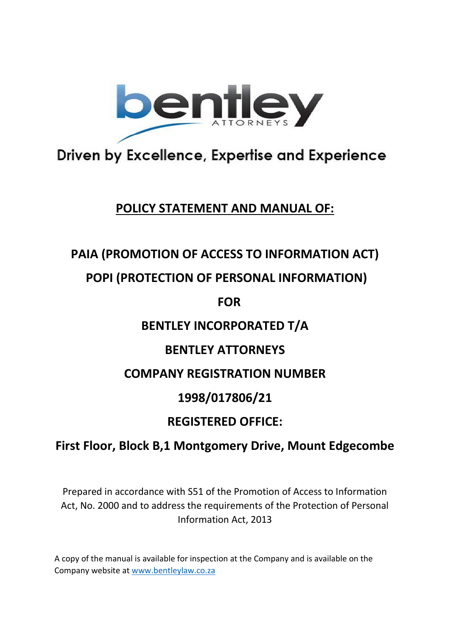

# Driven by Excellence, Expertise and Experience

### **POLICY STATEMENT AND MANUAL OF:**

### **PAIA (PROMOTION OF ACCESS TO INFORMATION ACT)**

### **POPI (PROTECTION OF PERSONAL INFORMATION)**

**FOR** 

### **BENTLEY INCORPORATED T/A**

## **BENTLEY ATTORNEYS**

### **COMPANY REGISTRATION NUMBER**

### **1998/017806/21**

## **REGISTERED OFFICE:**

## **First Floor, Block B,1 Montgomery Drive, Mount Edgecombe**

Prepared in accordance with S51 of the Promotion of Access to Information Act, No. 2000 and to address the requirements of the Protection of Personal Information Act, 2013

A copy of the manual is available for inspection at the Company and is available on the Company website at [www.bentleylaw.co.za](http://www.bentleylaw.co.za/)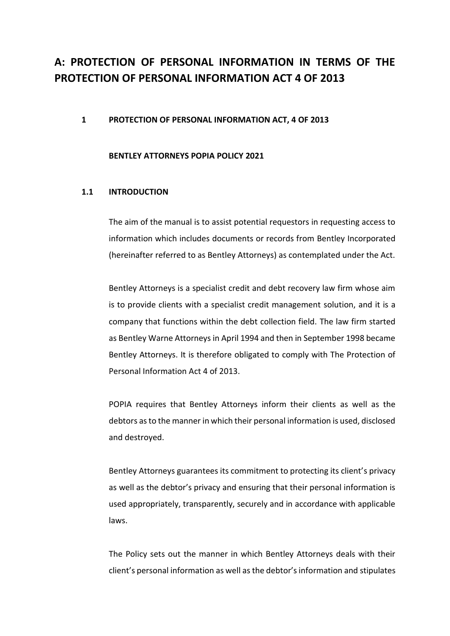### **A: PROTECTION OF PERSONAL INFORMATION IN TERMS OF THE PROTECTION OF PERSONAL INFORMATION ACT 4 OF 2013**

#### **1 PROTECTION OF PERSONAL INFORMATION ACT, 4 OF 2013**

#### **BENTLEY ATTORNEYS POPIA POLICY 2021**

#### **1.1 INTRODUCTION**

The aim of the manual is to assist potential requestors in requesting access to information which includes documents or records from Bentley Incorporated (hereinafter referred to as Bentley Attorneys) as contemplated under the Act.

Bentley Attorneys is a specialist credit and debt recovery law firm whose aim is to provide clients with a specialist credit management solution, and it is a company that functions within the debt collection field. The law firm started as Bentley Warne Attorneys in April 1994 and then in September 1998 became Bentley Attorneys. It is therefore obligated to comply with The Protection of Personal Information Act 4 of 2013.

POPIA requires that Bentley Attorneys inform their clients as well as the debtors as to the manner in which their personal information is used, disclosed and destroyed.

Bentley Attorneys guarantees its commitment to protecting its client's privacy as well as the debtor's privacy and ensuring that their personal information is used appropriately, transparently, securely and in accordance with applicable laws.

The Policy sets out the manner in which Bentley Attorneys deals with their client's personal information as well as the debtor'sinformation and stipulates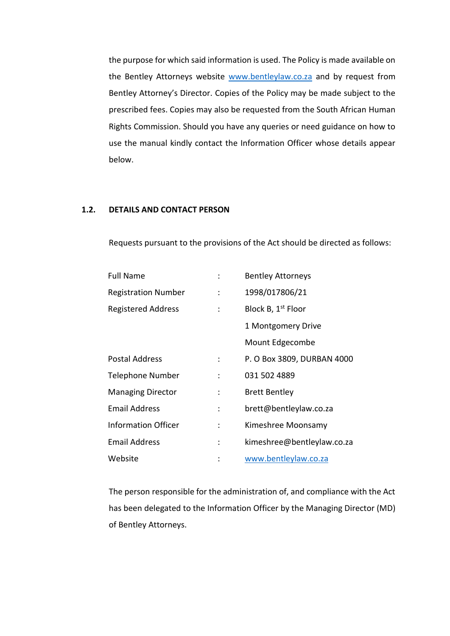the purpose for which said information is used. The Policy is made available on the Bentley Attorneys website [www.bentleylaw.co.za](http://www.bentleylaw.co.za/) and by request from Bentley Attorney's Director. Copies of the Policy may be made subject to the prescribed fees. Copies may also be requested from the South African Human Rights Commission. Should you have any queries or need guidance on how to use the manual kindly contact the Information Officer whose details appear below.

#### **1.2. DETAILS AND CONTACT PERSON**

Requests pursuant to the provisions of the Act should be directed as follows:

| <b>Full Name</b>           |                           | <b>Bentley Attorneys</b>       |
|----------------------------|---------------------------|--------------------------------|
| <b>Registration Number</b> | $\ddot{\cdot}$            | 1998/017806/21                 |
| <b>Registered Address</b>  | ÷                         | Block B, 1 <sup>st</sup> Floor |
|                            |                           | 1 Montgomery Drive             |
|                            |                           | Mount Edgecombe                |
| Postal Address             | ÷                         | P. O Box 3809, DURBAN 4000     |
| <b>Telephone Number</b>    | ÷                         | 031 502 4889                   |
| <b>Managing Director</b>   | $\mathbb{Z}^{\mathbb{Z}}$ | <b>Brett Bentley</b>           |
| <b>Email Address</b>       | ÷                         | brett@bentleylaw.co.za         |
| <b>Information Officer</b> | $\ddot{\cdot}$            | Kimeshree Moonsamy             |
| <b>Email Address</b>       | $\mathbb{R}^{\mathbb{Z}}$ | kimeshree@bentleylaw.co.za     |
| Website                    |                           | www.bentleylaw.co.za           |

The person responsible for the administration of, and compliance with the Act has been delegated to the Information Officer by the Managing Director (MD) of Bentley Attorneys.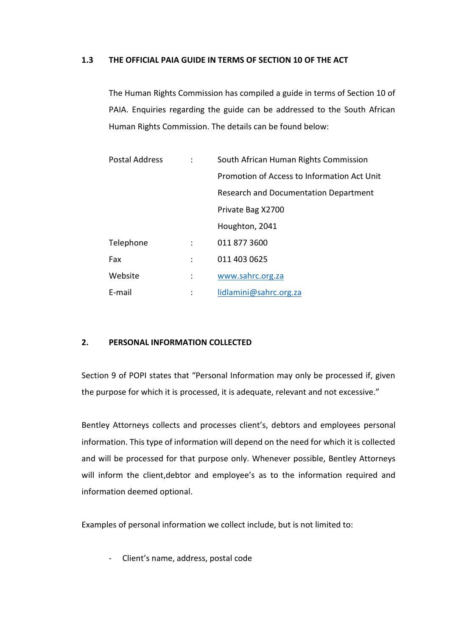#### **1.3 THE OFFICIAL PAIA GUIDE IN TERMS OF SECTION 10 OF THE ACT**

The Human Rights Commission has compiled a guide in terms of Section 10 of PAIA. Enquiries regarding the guide can be addressed to the South African Human Rights Commission. The details can be found below:

| <b>Postal Address</b> |                | South African Human Rights Commission       |
|-----------------------|----------------|---------------------------------------------|
|                       |                | Promotion of Access to Information Act Unit |
|                       |                | Research and Documentation Department       |
|                       |                | Private Bag X2700                           |
|                       |                | Houghton, 2041                              |
| Telephone             |                | 011 877 3600                                |
| Fax                   | $\ddot{\cdot}$ | 011 403 0625                                |
| Website               |                | www.sahrc.org.za                            |
| E-mail                |                | lidlamini@sahrc.org.za                      |

#### **2. PERSONAL INFORMATION COLLECTED**

Section 9 of POPI states that "Personal Information may only be processed if, given the purpose for which it is processed, it is adequate, relevant and not excessive."

Bentley Attorneys collects and processes client's, debtors and employees personal information. This type of information will depend on the need for which it is collected and will be processed for that purpose only. Whenever possible, Bentley Attorneys will inform the client,debtor and employee's as to the information required and information deemed optional.

Examples of personal information we collect include, but is not limited to:

- Client's name, address, postal code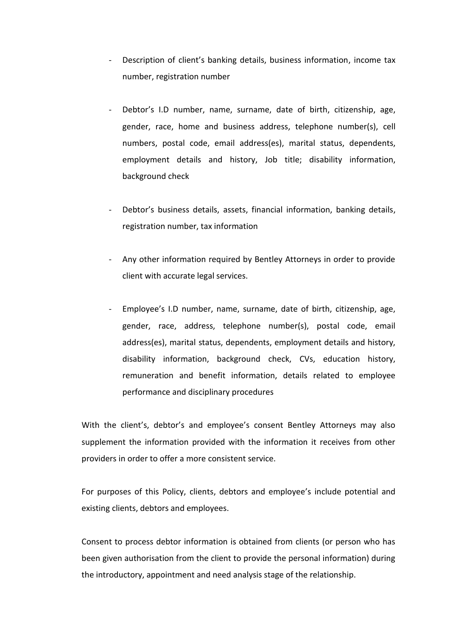- Description of client's banking details, business information, income tax number, registration number
- Debtor's I.D number, name, surname, date of birth, citizenship, age, gender, race, home and business address, telephone number(s), cell numbers, postal code, email address(es), marital status, dependents, employment details and history, Job title; disability information, background check
- Debtor's business details, assets, financial information, banking details, registration number, tax information
- Any other information required by Bentley Attorneys in order to provide client with accurate legal services.
- Employee's I.D number, name, surname, date of birth, citizenship, age, gender, race, address, telephone number(s), postal code, email address(es), marital status, dependents, employment details and history, disability information, background check, CVs, education history, remuneration and benefit information, details related to employee performance and disciplinary procedures

With the client's, debtor's and employee's consent Bentley Attorneys may also supplement the information provided with the information it receives from other providers in order to offer a more consistent service.

For purposes of this Policy, clients, debtors and employee's include potential and existing clients, debtors and employees.

Consent to process debtor information is obtained from clients (or person who has been given authorisation from the client to provide the personal information) during the introductory, appointment and need analysis stage of the relationship.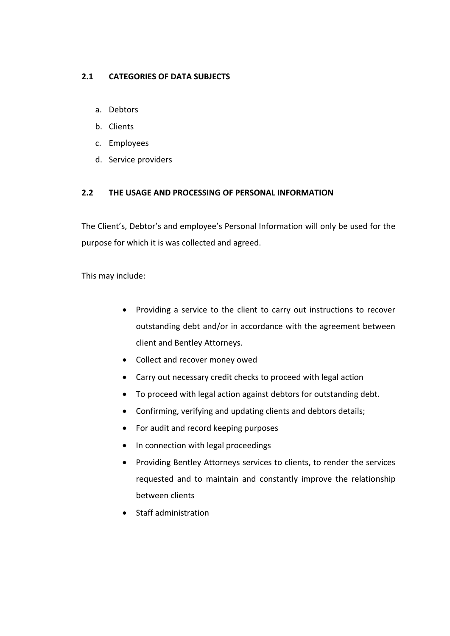#### **2.1 CATEGORIES OF DATA SUBJECTS**

- a. Debtors
- b. Clients
- c. Employees
- d. Service providers

#### **2.2 THE USAGE AND PROCESSING OF PERSONAL INFORMATION**

The Client's, Debtor's and employee's Personal Information will only be used for the purpose for which it is was collected and agreed.

This may include:

- Providing a service to the client to carry out instructions to recover outstanding debt and/or in accordance with the agreement between client and Bentley Attorneys.
- Collect and recover money owed
- Carry out necessary credit checks to proceed with legal action
- To proceed with legal action against debtors for outstanding debt.
- Confirming, verifying and updating clients and debtors details;
- For audit and record keeping purposes
- In connection with legal proceedings
- Providing Bentley Attorneys services to clients, to render the services requested and to maintain and constantly improve the relationship between clients
- Staff administration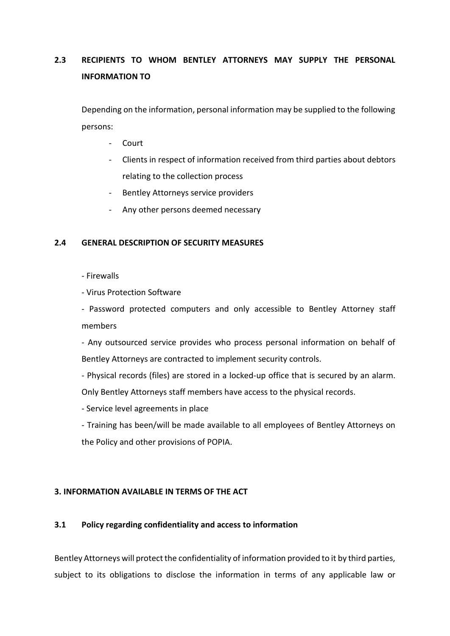### **2.3 RECIPIENTS TO WHOM BENTLEY ATTORNEYS MAY SUPPLY THE PERSONAL INFORMATION TO**

Depending on the information, personal information may be supplied to the following persons:

- Court
- Clients in respect of information received from third parties about debtors relating to the collection process
- Bentley Attorneys service providers
- Any other persons deemed necessary

#### **2.4 GENERAL DESCRIPTION OF SECURITY MEASURES**

- Firewalls

- Virus Protection Software

- Password protected computers and only accessible to Bentley Attorney staff members

- Any outsourced service provides who process personal information on behalf of Bentley Attorneys are contracted to implement security controls.

- Physical records (files) are stored in a locked-up office that is secured by an alarm. Only Bentley Attorneys staff members have access to the physical records.

- Service level agreements in place

- Training has been/will be made available to all employees of Bentley Attorneys on the Policy and other provisions of POPIA.

#### **3. INFORMATION AVAILABLE IN TERMS OF THE ACT**

#### **3.1 Policy regarding confidentiality and access to information**

Bentley Attorneys will protect the confidentiality of information provided to it by third parties, subject to its obligations to disclose the information in terms of any applicable law or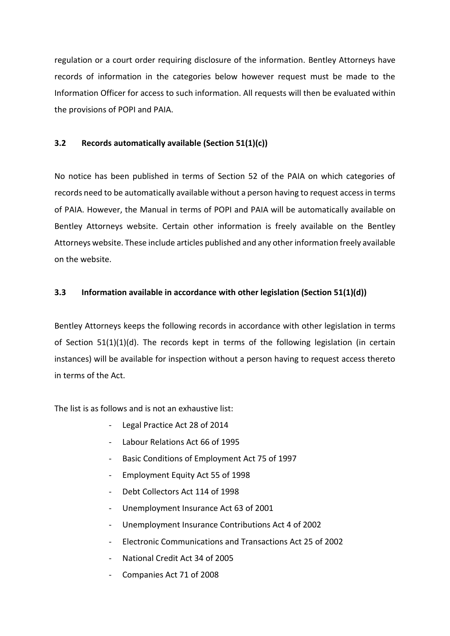regulation or a court order requiring disclosure of the information. Bentley Attorneys have records of information in the categories below however request must be made to the Information Officer for access to such information. All requests will then be evaluated within the provisions of POPI and PAIA.

#### **3.2 Records automatically available (Section 51(1)(c))**

No notice has been published in terms of Section 52 of the PAIA on which categories of records need to be automatically available without a person having to request access in terms of PAIA. However, the Manual in terms of POPI and PAIA will be automatically available on Bentley Attorneys website. Certain other information is freely available on the Bentley Attorneys website. These include articles published and any other information freely available on the website.

#### **3.3 Information available in accordance with other legislation (Section 51(1)(d))**

Bentley Attorneys keeps the following records in accordance with other legislation in terms of Section 51(1)(1)(d). The records kept in terms of the following legislation (in certain instances) will be available for inspection without a person having to request access thereto in terms of the Act.

The list is as follows and is not an exhaustive list:

- Legal Practice Act 28 of 2014
- Labour Relations Act 66 of 1995
- Basic Conditions of Employment Act 75 of 1997
- Employment Equity Act 55 of 1998
- Debt Collectors Act 114 of 1998
- Unemployment Insurance Act 63 of 2001
- Unemployment Insurance Contributions Act 4 of 2002
- Electronic Communications and Transactions Act 25 of 2002
- National Credit Act 34 of 2005
- Companies Act 71 of 2008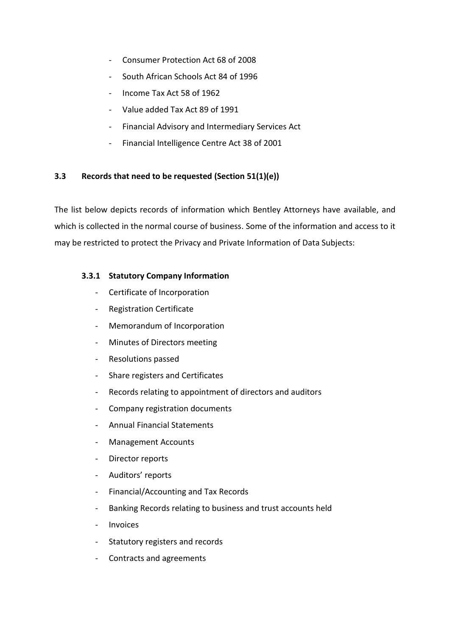- Consumer Protection Act 68 of 2008
- South African Schools Act 84 of 1996
- Income Tax Act 58 of 1962
- Value added Tax Act 89 of 1991
- Financial Advisory and Intermediary Services Act
- Financial Intelligence Centre Act 38 of 2001

#### **3.3 Records that need to be requested (Section 51(1)(e))**

The list below depicts records of information which Bentley Attorneys have available, and which is collected in the normal course of business. Some of the information and access to it may be restricted to protect the Privacy and Private Information of Data Subjects:

#### **3.3.1 Statutory Company Information**

- Certificate of Incorporation
- Registration Certificate
- Memorandum of Incorporation
- Minutes of Directors meeting
- Resolutions passed
- Share registers and Certificates
- Records relating to appointment of directors and auditors
- Company registration documents
- Annual Financial Statements
- Management Accounts
- Director reports
- Auditors' reports
- Financial/Accounting and Tax Records
- Banking Records relating to business and trust accounts held
- **Invoices**
- Statutory registers and records
- Contracts and agreements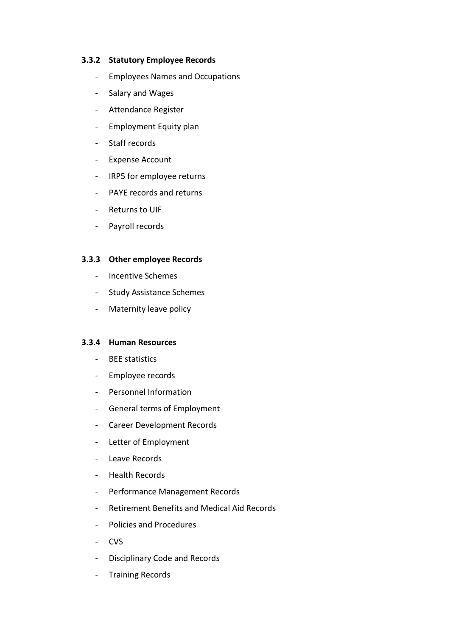#### **3.3.2 Statutory Employee Records**

- Employees Names and Occupations
- Salary and Wages
- Attendance Register
- Employment Equity plan
- Staff records
- Expense Account
- IRP5 for employee returns
- PAYE records and returns
- Returns to UIF
- Payroll records

#### **3.3.3 Other employee Records**

- Incentive Schemes
- Study Assistance Schemes
- Maternity leave policy

#### **3.3.4 Human Resources**

- BEE statistics
- Employee records
- Personnel Information
- General terms of Employment
- Career Development Records
- Letter of Employment
- Leave Records
- Health Records
- Performance Management Records
- Retirement Benefits and Medical Aid Records
- Policies and Procedures
- CVS
- Disciplinary Code and Records
- Training Records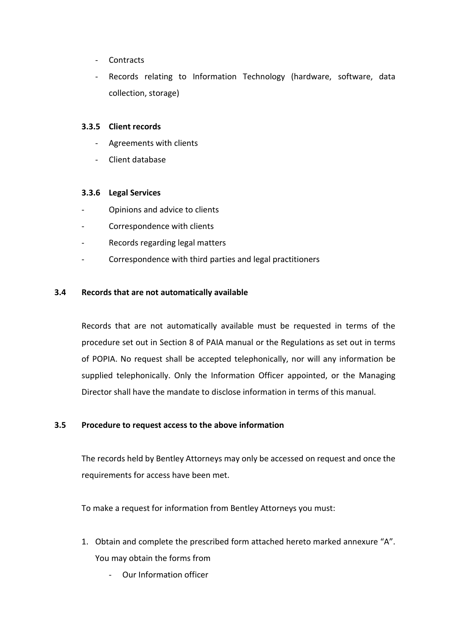- **Contracts**
- Records relating to Information Technology (hardware, software, data collection, storage)

#### **3.3.5 Client records**

- Agreements with clients
- Client database

#### **3.3.6 Legal Services**

- Opinions and advice to clients
- Correspondence with clients
- Records regarding legal matters
- Correspondence with third parties and legal practitioners

#### **3.4 Records that are not automatically available**

Records that are not automatically available must be requested in terms of the procedure set out in Section 8 of PAIA manual or the Regulations as set out in terms of POPIA. No request shall be accepted telephonically, nor will any information be supplied telephonically. Only the Information Officer appointed, or the Managing Director shall have the mandate to disclose information in terms of this manual.

#### **3.5 Procedure to request access to the above information**

The records held by Bentley Attorneys may only be accessed on request and once the requirements for access have been met.

To make a request for information from Bentley Attorneys you must:

- 1. Obtain and complete the prescribed form attached hereto marked annexure "A". You may obtain the forms from
	- Our Information officer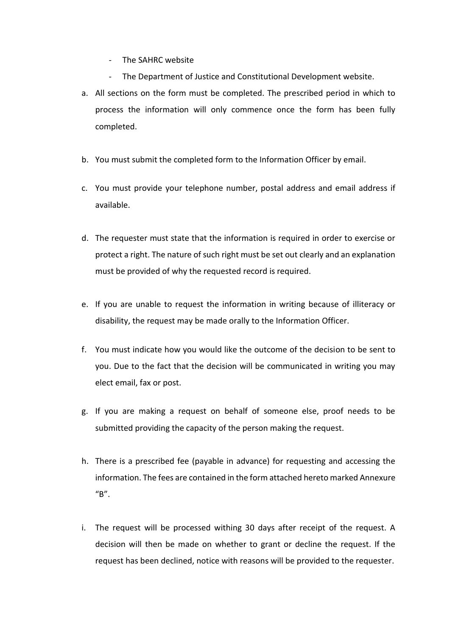- The SAHRC website
- The Department of Justice and Constitutional Development website.
- a. All sections on the form must be completed. The prescribed period in which to process the information will only commence once the form has been fully completed.
- b. You must submit the completed form to the Information Officer by email.
- c. You must provide your telephone number, postal address and email address if available.
- d. The requester must state that the information is required in order to exercise or protect a right. The nature of such right must be set out clearly and an explanation must be provided of why the requested record is required.
- e. If you are unable to request the information in writing because of illiteracy or disability, the request may be made orally to the Information Officer.
- f. You must indicate how you would like the outcome of the decision to be sent to you. Due to the fact that the decision will be communicated in writing you may elect email, fax or post.
- g. If you are making a request on behalf of someone else, proof needs to be submitted providing the capacity of the person making the request.
- h. There is a prescribed fee (payable in advance) for requesting and accessing the information. The fees are contained in the form attached hereto marked Annexure  $''B''$ .
- i. The request will be processed withing 30 days after receipt of the request. A decision will then be made on whether to grant or decline the request. If the request has been declined, notice with reasons will be provided to the requester.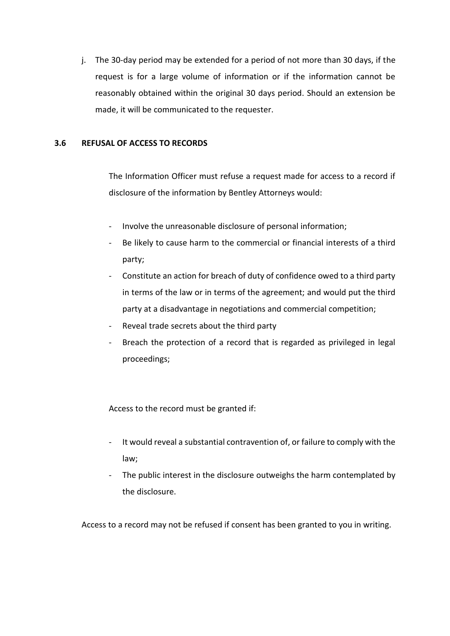j. The 30-day period may be extended for a period of not more than 30 days, if the request is for a large volume of information or if the information cannot be reasonably obtained within the original 30 days period. Should an extension be made, it will be communicated to the requester.

#### **3.6 REFUSAL OF ACCESS TO RECORDS**

The Information Officer must refuse a request made for access to a record if disclosure of the information by Bentley Attorneys would:

- Involve the unreasonable disclosure of personal information;
- Be likely to cause harm to the commercial or financial interests of a third party;
- Constitute an action for breach of duty of confidence owed to a third party in terms of the law or in terms of the agreement; and would put the third party at a disadvantage in negotiations and commercial competition;
- Reveal trade secrets about the third party
- Breach the protection of a record that is regarded as privileged in legal proceedings;

Access to the record must be granted if:

- It would reveal a substantial contravention of, or failure to comply with the law;
- The public interest in the disclosure outweighs the harm contemplated by the disclosure.

Access to a record may not be refused if consent has been granted to you in writing.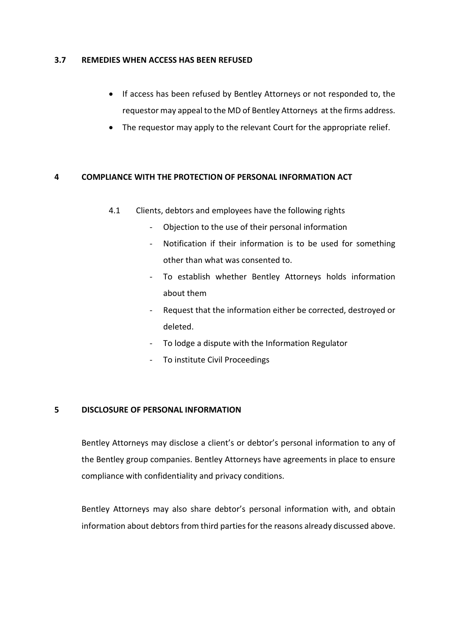#### **3.7 REMEDIES WHEN ACCESS HAS BEEN REFUSED**

- If access has been refused by Bentley Attorneys or not responded to, the requestor may appeal to the MD of Bentley Attorneys at the firms address.
- The requestor may apply to the relevant Court for the appropriate relief.

#### **4 COMPLIANCE WITH THE PROTECTION OF PERSONAL INFORMATION ACT**

- 4.1 Clients, debtors and employees have the following rights
	- Objection to the use of their personal information
	- Notification if their information is to be used for something other than what was consented to.
	- To establish whether Bentley Attorneys holds information about them
	- Request that the information either be corrected, destroyed or deleted.
	- To lodge a dispute with the Information Regulator
	- To institute Civil Proceedings

#### **5 DISCLOSURE OF PERSONAL INFORMATION**

Bentley Attorneys may disclose a client's or debtor's personal information to any of the Bentley group companies. Bentley Attorneys have agreements in place to ensure compliance with confidentiality and privacy conditions.

Bentley Attorneys may also share debtor's personal information with, and obtain information about debtors from third parties for the reasons already discussed above.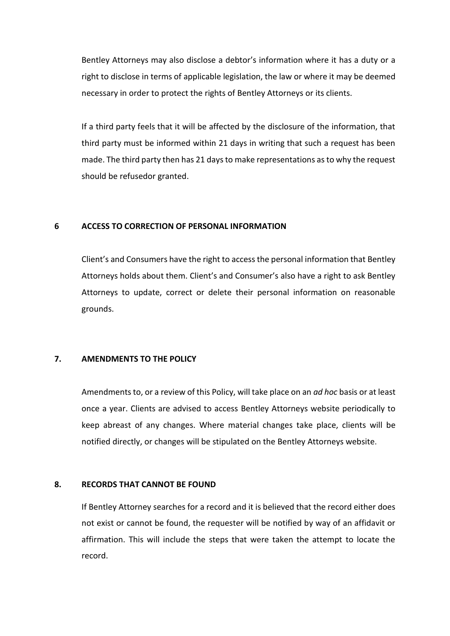Bentley Attorneys may also disclose a debtor's information where it has a duty or a right to disclose in terms of applicable legislation, the law or where it may be deemed necessary in order to protect the rights of Bentley Attorneys or its clients.

If a third party feels that it will be affected by the disclosure of the information, that third party must be informed within 21 days in writing that such a request has been made. The third party then has 21 days to make representations as to why the request should be refusedor granted.

#### **6 ACCESS TO CORRECTION OF PERSONAL INFORMATION**

Client's and Consumers have the right to access the personal information that Bentley Attorneys holds about them. Client's and Consumer's also have a right to ask Bentley Attorneys to update, correct or delete their personal information on reasonable grounds.

#### **7. AMENDMENTS TO THE POLICY**

Amendments to, or a review of this Policy, will take place on an *ad hoc* basis or at least once a year. Clients are advised to access Bentley Attorneys website periodically to keep abreast of any changes. Where material changes take place, clients will be notified directly, or changes will be stipulated on the Bentley Attorneys website.

#### **8. RECORDS THAT CANNOT BE FOUND**

If Bentley Attorney searches for a record and it is believed that the record either does not exist or cannot be found, the requester will be notified by way of an affidavit or affirmation. This will include the steps that were taken the attempt to locate the record.